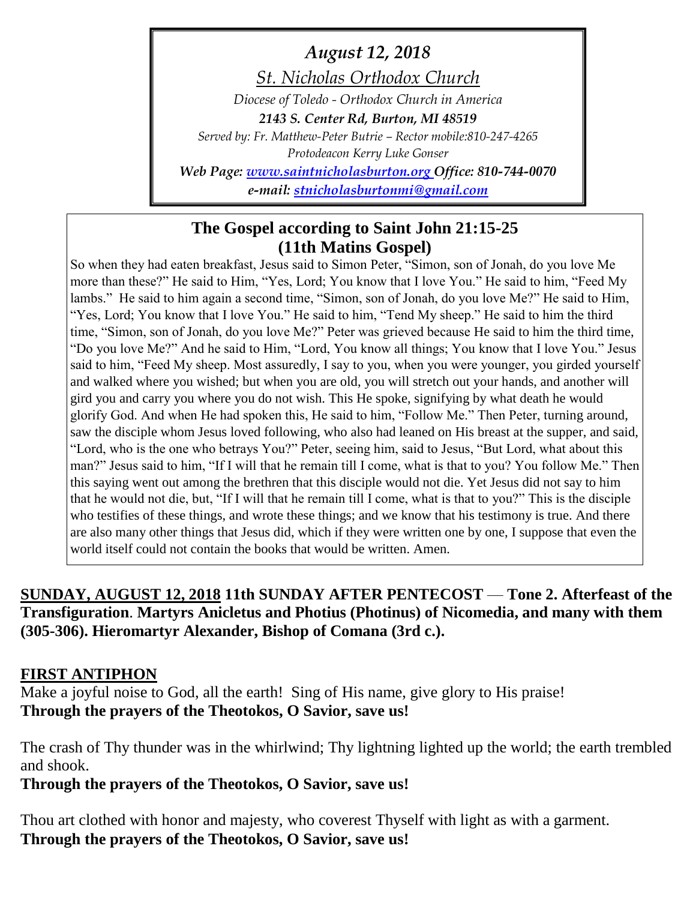*August 12, 2018*

*St. Nicholas Orthodox Church*

*Diocese of Toledo - Orthodox Church in America 2143 S. Center Rd, Burton, MI 48519 Served by: Fr. Matthew-Peter Butrie – Rector mobile:810-247-4265 Protodeacon Kerry Luke Gonser Web Page: [www.saintnicholasburton.org](http://www.saintnicholasburton.org/) Office: 810-744-0070 e-mail: [stnicholasburtonmi@gmail.com](mailto:stnicholasburtonmi@gmail.com)*

# **The Gospel according to Saint John 21:15-25 (11th Matins Gospel)**

So when they had eaten breakfast, Jesus said to Simon Peter, "Simon, son of Jonah, do you love Me more than these?" He said to Him, "Yes, Lord; You know that I love You." He said to him, "Feed My lambs." He said to him again a second time, "Simon, son of Jonah, do you love Me?" He said to Him, "Yes, Lord; You know that I love You." He said to him, "Tend My sheep." He said to him the third time, "Simon, son of Jonah, do you love Me?" Peter was grieved because He said to him the third time, "Do you love Me?" And he said to Him, "Lord, You know all things; You know that I love You." Jesus said to him, "Feed My sheep. Most assuredly, I say to you, when you were younger, you girded yourself and walked where you wished; but when you are old, you will stretch out your hands, and another will gird you and carry you where you do not wish. This He spoke, signifying by what death he would glorify God. And when He had spoken this, He said to him, "Follow Me." Then Peter, turning around, saw the disciple whom Jesus loved following, who also had leaned on His breast at the supper, and said, "Lord, who is the one who betrays You?" Peter, seeing him, said to Jesus, "But Lord, what about this man?" Jesus said to him, "If I will that he remain till I come, what is that to you? You follow Me." Then this saying went out among the brethren that this disciple would not die. Yet Jesus did not say to him that he would not die, but, "If I will that he remain till I come, what is that to you?" This is the disciple who testifies of these things, and wrote these things; and we know that his testimony is true. And there are also many other things that Jesus did, which if they were written one by one, I suppose that even the world itself could not contain the books that would be written. Amen.

**SUNDAY, AUGUST 12, 2018 11th SUNDAY AFTER PENTECOST** — **Tone 2. Afterfeast of the Transfiguration**. **Martyrs Anicletus and Photius (Photinus) of Nicomedia, and many with them (305-306). Hieromartyr Alexander, Bishop of Comana (3rd c.).**

#### **FIRST ANTIPHON**

Make a joyful noise to God, all the earth! Sing of His name, give glory to His praise! **Through the prayers of the Theotokos, O Savior, save us!**

The crash of Thy thunder was in the whirlwind; Thy lightning lighted up the world; the earth trembled and shook.

## **Through the prayers of the Theotokos, O Savior, save us!**

Thou art clothed with honor and majesty, who coverest Thyself with light as with a garment. **Through the prayers of the Theotokos, O Savior, save us!**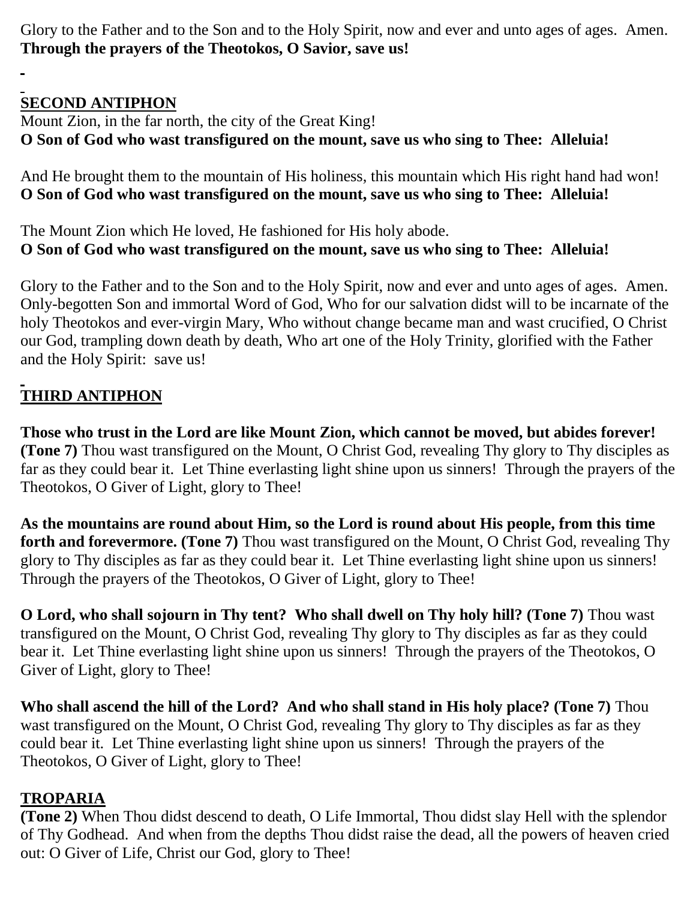Glory to the Father and to the Son and to the Holy Spirit, now and ever and unto ages of ages. Amen. **Through the prayers of the Theotokos, O Savior, save us!**

# **SECOND ANTIPHON**

Mount Zion, in the far north, the city of the Great King! **O Son of God who wast transfigured on the mount, save us who sing to Thee: Alleluia!**

And He brought them to the mountain of His holiness, this mountain which His right hand had won! **O Son of God who wast transfigured on the mount, save us who sing to Thee: Alleluia!**

The Mount Zion which He loved, He fashioned for His holy abode. **O Son of God who wast transfigured on the mount, save us who sing to Thee: Alleluia!**

Glory to the Father and to the Son and to the Holy Spirit, now and ever and unto ages of ages. Amen. Only-begotten Son and immortal Word of God, Who for our salvation didst will to be incarnate of the holy Theotokos and ever-virgin Mary, Who without change became man and wast crucified, O Christ our God, trampling down death by death, Who art one of the Holy Trinity, glorified with the Father and the Holy Spirit: save us!

# **THIRD ANTIPHON**

**Those who trust in the Lord are like Mount Zion, which cannot be moved, but abides forever! (Tone 7)** Thou wast transfigured on the Mount, O Christ God, revealing Thy glory to Thy disciples as far as they could bear it. Let Thine everlasting light shine upon us sinners! Through the prayers of the Theotokos, O Giver of Light, glory to Thee!

**As the mountains are round about Him, so the Lord is round about His people, from this time forth and forevermore. (Tone 7)** Thou wast transfigured on the Mount, O Christ God, revealing Thy glory to Thy disciples as far as they could bear it. Let Thine everlasting light shine upon us sinners! Through the prayers of the Theotokos, O Giver of Light, glory to Thee!

**O Lord, who shall sojourn in Thy tent? Who shall dwell on Thy holy hill? (Tone 7)** Thou wast transfigured on the Mount, O Christ God, revealing Thy glory to Thy disciples as far as they could bear it. Let Thine everlasting light shine upon us sinners! Through the prayers of the Theotokos, O Giver of Light, glory to Thee!

**Who shall ascend the hill of the Lord? And who shall stand in His holy place? (Tone 7)** Thou wast transfigured on the Mount, O Christ God, revealing Thy glory to Thy disciples as far as they could bear it. Let Thine everlasting light shine upon us sinners! Through the prayers of the Theotokos, O Giver of Light, glory to Thee!

# **TROPARIA**

**(Tone 2)** When Thou didst descend to death, O Life Immortal, Thou didst slay Hell with the splendor of Thy Godhead. And when from the depths Thou didst raise the dead, all the powers of heaven cried out: O Giver of Life, Christ our God, glory to Thee!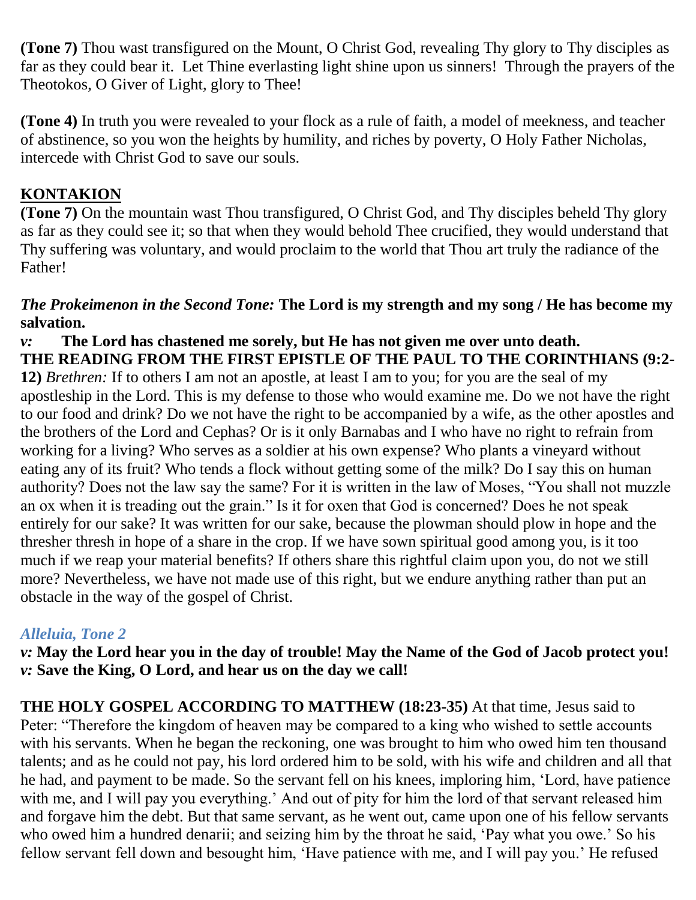**(Tone 7)** Thou wast transfigured on the Mount, O Christ God, revealing Thy glory to Thy disciples as far as they could bear it. Let Thine everlasting light shine upon us sinners! Through the prayers of the Theotokos, O Giver of Light, glory to Thee!

**(Tone 4)** In truth you were revealed to your flock as a rule of faith, a model of meekness, and teacher of abstinence, so you won the heights by humility, and riches by poverty, O Holy Father Nicholas, intercede with Christ God to save our souls.

# **KONTAKION**

**(Tone 7)** On the mountain wast Thou transfigured, O Christ God, and Thy disciples beheld Thy glory as far as they could see it; so that when they would behold Thee crucified, they would understand that Thy suffering was voluntary, and would proclaim to the world that Thou art truly the radiance of the Father!

## *The Prokeimenon in the Second Tone:* **The Lord is my strength and my song / He has become my salvation.**

## *v:* **The Lord has chastened me sorely, but He has not given me over unto death. THE READING FROM THE FIRST EPISTLE OF THE PAUL TO THE CORINTHIANS (9:2- 12)** *Brethren:* If to others I am not an apostle, at least I am to you; for you are the seal of my apostleship in the Lord. This is my defense to those who would examine me. Do we not have the right to our food and drink? Do we not have the right to be accompanied by a wife, as the other apostles and the brothers of the Lord and Cephas? Or is it only Barnabas and I who have no right to refrain from working for a living? Who serves as a soldier at his own expense? Who plants a vineyard without eating any of its fruit? Who tends a flock without getting some of the milk? Do I say this on human authority? Does not the law say the same? For it is written in the law of Moses, "You shall not muzzle an ox when it is treading out the grain." Is it for oxen that God is concerned? Does he not speak entirely for our sake? It was written for our sake, because the plowman should plow in hope and the thresher thresh in hope of a share in the crop. If we have sown spiritual good among you, is it too much if we reap your material benefits? If others share this rightful claim upon you, do not we still more? Nevertheless, we have not made use of this right, but we endure anything rather than put an obstacle in the way of the gospel of Christ.

# *Alleluia, Tone 2*

*v:* **May the Lord hear you in the day of trouble! May the Name of the God of Jacob protect you!** *v:* **Save the King, O Lord, and hear us on the day we call!**

**THE HOLY GOSPEL ACCORDING TO MATTHEW (18:23-35)** At that time, Jesus said to Peter: "Therefore the kingdom of heaven may be compared to a king who wished to settle accounts with his servants. When he began the reckoning, one was brought to him who owed him ten thousand talents; and as he could not pay, his lord ordered him to be sold, with his wife and children and all that he had, and payment to be made. So the servant fell on his knees, imploring him, 'Lord, have patience with me, and I will pay you everything.' And out of pity for him the lord of that servant released him and forgave him the debt. But that same servant, as he went out, came upon one of his fellow servants who owed him a hundred denarii; and seizing him by the throat he said, 'Pay what you owe.' So his fellow servant fell down and besought him, 'Have patience with me, and I will pay you.' He refused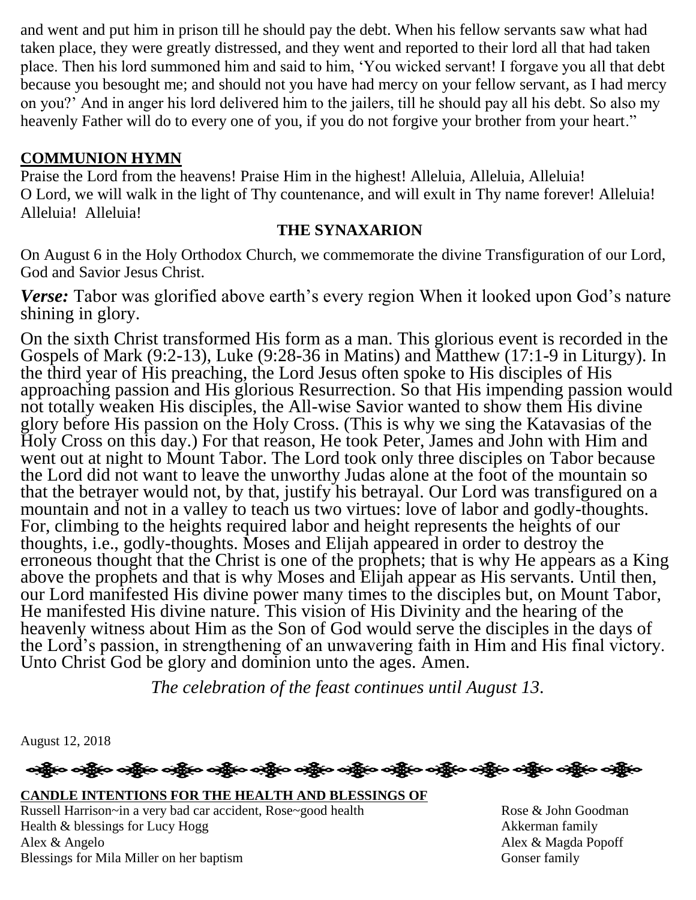and went and put him in prison till he should pay the debt. When his fellow servants saw what had taken place, they were greatly distressed, and they went and reported to their lord all that had taken place. Then his lord summoned him and said to him, 'You wicked servant! I forgave you all that debt because you besought me; and should not you have had mercy on your fellow servant, as I had mercy on you?' And in anger his lord delivered him to the jailers, till he should pay all his debt. So also my heavenly Father will do to every one of you, if you do not forgive your brother from your heart."

# **COMMUNION HYMN**

Praise the Lord from the heavens! Praise Him in the highest! Alleluia, Alleluia, Alleluia! O Lord, we will walk in the light of Thy countenance, and will exult in Thy name forever! Alleluia! Alleluia! Alleluia!

## **THE SYNAXARION**

On August 6 in the Holy Orthodox Church, we commemorate the divine Transfiguration of our Lord, God and Savior Jesus Christ.

*Verse:* Tabor was glorified above earth's every region When it looked upon God's nature shining in glory.

On the sixth Christ transformed His form as a man. This glorious event is recorded in the Gospels of Mark (9:2-13), Luke (9:28-36 in Matins) and Matthew (17:1-9 in Liturgy). In the third year of His preaching, the Lord Jesus often spoke to His disciples of His approaching passion and His glorious Resurrection. So that His impending passion would not totally weaken His disciples, the All-wise Savior wanted to show them His divine glory before His passion on the Holy Cross. (This is why we sing the Katavasias of the Holy Cross on this day.) For that reason, He took Peter, James and John with Him and went out at night to Mount Tabor. The Lord took only three disciples on Tabor because the Lord did not want to leave the unworthy Judas alone at the foot of the mountain so that the betrayer would not, by that, justify his betrayal. Our Lord was transfigured on a mountain and not in a valley to teach us two virtues: love of labor and godly-thoughts. For, climbing to the heights required labor and height represents the heights of our thoughts, i.e., godly-thoughts. Moses and Elijah appeared in order to destroy the erroneous thought that the Christ is one of the prophets; that is why He appears as a King above the prophets and that is why Moses and Elijah appear as His servants. Until then, our Lord manifested His divine power many times to the disciples but, on Mount Tabor, He manifested His divine nature. This vision of His Divinity and the hearing of the heavenly witness about Him as the Son of God would serve the disciples in the days of the Lord's passion, in strengthening of an unwavering faith in Him and His final victory. Unto Christ God be glory and dominion unto the ages. Amen.

*The celebration of the feast continues until August 13.*

August 12, 2018

ခရွို့လ ခရွို့လ ခရွို့လ ခရွို့လ ခရွို့လ ခရွို့လ ခရွို့လ ခရွို့လ ခရွို့လ ခရွို့လ ခရွို့လ ခရွို့လ ခရွို့လ ခရွို့လ

**CANDLE INTENTIONS FOR THE HEALTH AND BLESSINGS OF** 

Russell Harrison~in a very bad car accident, Rose~good health Rose & John Goodman Health & blessings for Lucy Hogg Akkerman family Alex & Angelo Alex & Magda Popoff Blessings for Mila Miller on her baptism Gonser family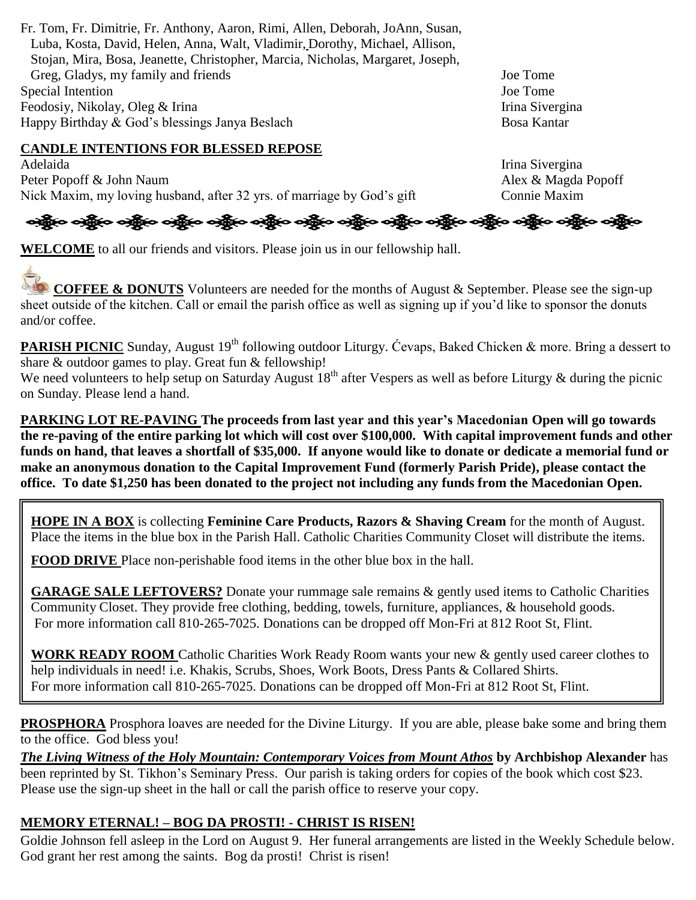Fr. Tom, Fr. Dimitrie, Fr. Anthony, Aaron, Rimi, Allen, Deborah, JoAnn, Susan, Luba, Kosta, David, Helen, Anna, Walt, Vladimir, Dorothy, Michael, Allison, Stojan, Mira, Bosa, Jeanette, Christopher, Marcia, Nicholas, Margaret, Joseph, Greg, Gladys, my family and friends Joe Tome Special Intention Joe Tome Feodosiy, Nikolay, Oleg & Irina Irina Sivergina Happy Birthday & God's blessings Janya Beslach Bosa Kantar

#### **CANDLE INTENTIONS FOR BLESSED REPOSE**

Adelaida Irina Sivergina Peter Popoff & John Naum Alex & Magda Popoff Nick Maxim, my loving husband, after 32 yrs. of marriage by God's gift Connie Maxim

# ခရွိက ခရွိက ခရွိက ခရွိက ခရွိက ခရွိက ခရွိက ခရွိက ခရွိက ခရွိက ခရွိက ခရွိက ခရွိက ခရွိက ခရွိက ခရွိက

**WELCOME** to all our friends and visitors. Please join us in our fellowship hall.

**COFFEE & DONUTS** Volunteers are needed for the months of August & September. Please see the sign-up sheet outside of the kitchen. Call or email the parish office as well as signing up if you'd like to sponsor the donuts and/or coffee.

**PARISH PICNIC** Sunday, August 19<sup>th</sup> following outdoor Liturgy. Ćevaps, Baked Chicken & more. Bring a dessert to share & outdoor games to play. Great fun & fellowship!

We need volunteers to help setup on Saturday August  $18<sup>th</sup>$  after Vespers as well as before Liturgy & during the picnic on Sunday. Please lend a hand.

**PARKING LOT RE-PAVING The proceeds from last year and this year's Macedonian Open will go towards the re-paving of the entire parking lot which will cost over \$100,000. With capital improvement funds and other funds on hand, that leaves a shortfall of \$35,000. If anyone would like to donate or dedicate a memorial fund or make an anonymous donation to the Capital Improvement Fund (formerly Parish Pride), please contact the office. To date \$1,250 has been donated to the project not including any funds from the Macedonian Open.**

**HOPE IN A BOX** is collecting **Feminine Care Products, Razors & Shaving Cream** for the month of August. Place the items in the blue box in the Parish Hall. Catholic Charities Community Closet will distribute the items.

**FOOD DRIVE** Place non-perishable food items in the other blue box in the hall.

**GARAGE SALE LEFTOVERS?** Donate your rummage sale remains & gently used items to Catholic Charities Community Closet. They provide free clothing, bedding, towels, furniture, appliances, & household goods. For more information call 810-265-7025. Donations can be dropped off Mon-Fri at 812 Root St, Flint.

**WORK READY ROOM** Catholic Charities Work Ready Room wants your new & gently used career clothes to help individuals in need! i.e. Khakis, Scrubs, Shoes, Work Boots, Dress Pants & Collared Shirts. For more information call 810-265-7025. Donations can be dropped off Mon-Fri at 812 Root St, Flint.

**PROSPHORA** Prosphora loaves are needed for the Divine Liturgy. If you are able, please bake some and bring them to the office. God bless you!

#### *The Living Witness of the Holy Mountain: Contemporary Voices from Mount Athos* **by Archbishop Alexander** has

been reprinted by St. Tikhon's Seminary Press. Our parish is taking orders for copies of the book which cost \$23. Please use the sign-up sheet in the hall or call the parish office to reserve your copy.

#### **MEMORY ETERNAL! – BOG DA PROSTI! - CHRIST IS RISEN!**

Goldie Johnson fell asleep in the Lord on August 9. Her funeral arrangements are listed in the Weekly Schedule below. God grant her rest among the saints. Bog da prosti! Christ is risen!